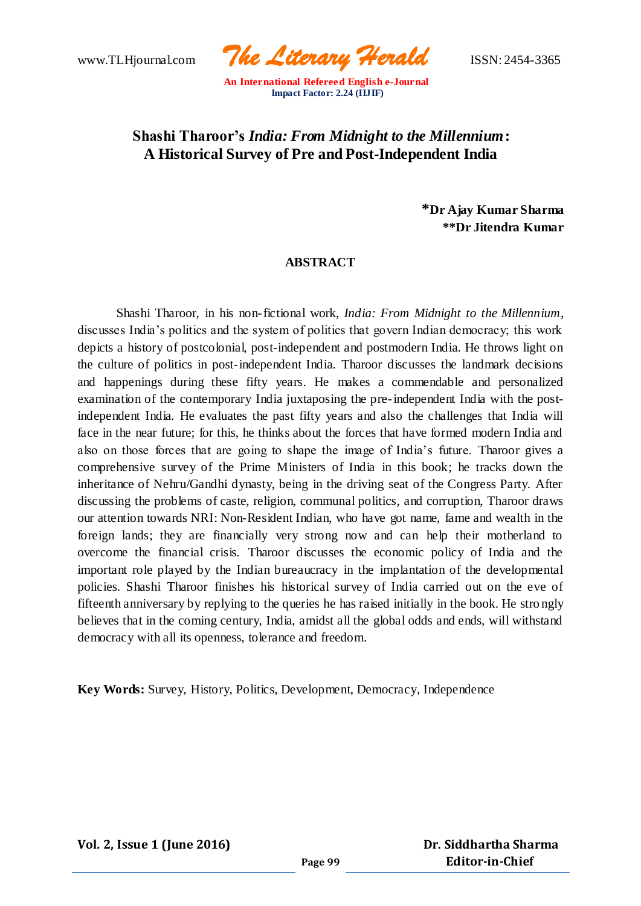www.TLHjournal.com *The Literary Herald*ISSN: 2454-3365

# **Shashi Tharoor's** *India: From Midnight to the Millennium***: A Historical Survey of Pre and Post-Independent India**

**\*Dr Ajay Kumar Sharma \*\*Dr Jitendra Kumar**

### **ABSTRACT**

Shashi Tharoor, in his non-fictional work, *India: From Midnight to the Millennium*, discusses India's politics and the system of politics that govern Indian democracy; this work depicts a history of postcolonial, post-independent and postmodern India. He throws light on the culture of politics in post-independent India. Tharoor discusses the landmark decisions and happenings during these fifty years. He makes a commendable and personalized examination of the contemporary India juxtaposing the pre-independent India with the postindependent India. He evaluates the past fifty years and also the challenges that India will face in the near future; for this, he thinks about the forces that have formed modern India and also on those forces that are going to shape the image of India's future. Tharoor gives a comprehensive survey of the Prime Ministers of India in this book; he tracks down the inheritance of Nehru/Gandhi dynasty, being in the driving seat of the Congress Party. After discussing the problems of caste, religion, communal politics, and corruption, Tharoor draws our attention towards NRI: Non-Resident Indian, who have got name, fame and wealth in the foreign lands; they are financially very strong now and can help their motherland to overcome the financial crisis. Tharoor discusses the economic policy of India and the important role played by the Indian bureaucracy in the implantation of the developmental policies. Shashi Tharoor finishes his historical survey of India carried out on the eve of fifteenth anniversary by replying to the queries he has raised initially in the book. He stro ngly believes that in the coming century, India, amidst all the global odds and ends, will withstand democracy with all its openness, tolerance and freedom.

**Key Words:** Survey, History, Politics, Development, Democracy, Independence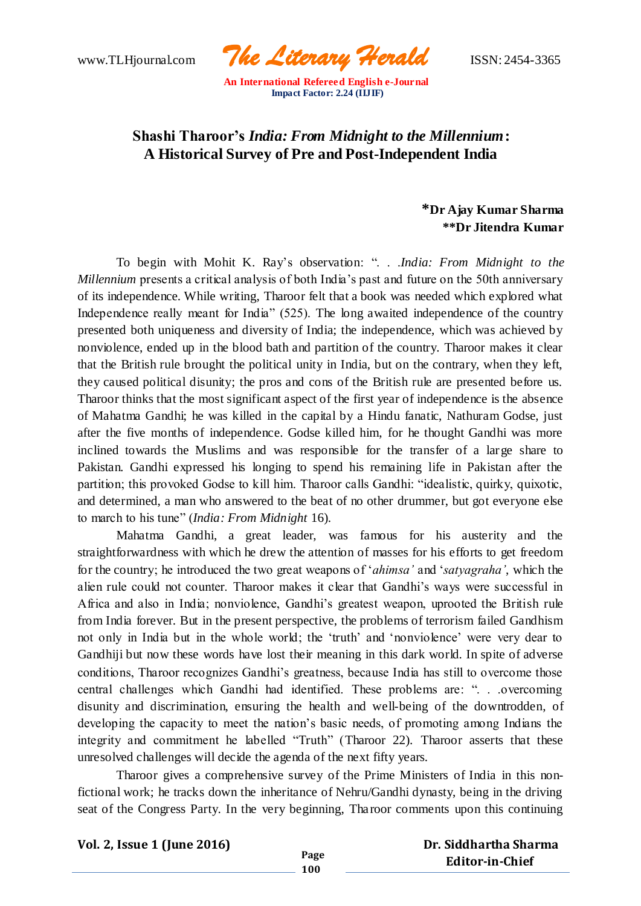www.TLHjournal.com *The Literary Herald*ISSN: 2454-3365

# **Shashi Tharoor's** *India: From Midnight to the Millennium***: A Historical Survey of Pre and Post-Independent India**

## **\*Dr Ajay Kumar Sharma \*\*Dr Jitendra Kumar**

To begin with Mohit K. Ray's observation: ". . .*India: From Midnight to the Millennium* presents a critical analysis of both India's past and future on the 50th anniversary of its independence. While writing, Tharoor felt that a book was needed which explored what Independence really meant for India" (525). The long awaited independence of the country presented both uniqueness and diversity of India; the independence, which was achieved by nonviolence, ended up in the blood bath and partition of the country. Tharoor makes it clear that the British rule brought the political unity in India, but on the contrary, when they left, they caused political disunity; the pros and cons of the British rule are presented before us. Tharoor thinks that the most significant aspect of the first year of independence is the absence of Mahatma Gandhi; he was killed in the capital by a Hindu fanatic, Nathuram Godse, just after the five months of independence. Godse killed him, for he thought Gandhi was more inclined towards the Muslims and was responsible for the transfer of a large share to Pakistan. Gandhi expressed his longing to spend his remaining life in Pakistan after the partition; this provoked Godse to kill him. Tharoor calls Gandhi: "idealistic, quirky, quixotic, and determined, a man who answered to the beat of no other drummer, but got everyone else to march to his tune" (*India: From Midnight* 16).

Mahatma Gandhi, a great leader, was famous for his austerity and the straightforwardness with which he drew the attention of masses for his efforts to get freedom for the country; he introduced the two great weapons of '*ahimsa'* and '*satyagraha'*, which the alien rule could not counter. Tharoor makes it clear that Gandhi's ways were successful in Africa and also in India; nonviolence, Gandhi's greatest weapon, uprooted the British rule from India forever. But in the present perspective, the problems of terrorism failed Gandhism not only in India but in the whole world; the 'truth' and 'nonviolence' were very dear to Gandhiji but now these words have lost their meaning in this dark world. In spite of adverse conditions, Tharoor recognizes Gandhi's greatness, because India has still to overcome those central challenges which Gandhi had identified. These problems are: ". . .overcoming disunity and discrimination, ensuring the health and well-being of the downtrodden, of developing the capacity to meet the nation's basic needs, of promoting among Indians the integrity and commitment he labelled "Truth" (Tharoor 22). Tharoor asserts that these unresolved challenges will decide the agenda of the next fifty years.

Tharoor gives a comprehensive survey of the Prime Ministers of India in this nonfictional work; he tracks down the inheritance of Nehru/Gandhi dynasty, being in the driving seat of the Congress Party. In the very beginning, Tharoor comments upon this continuing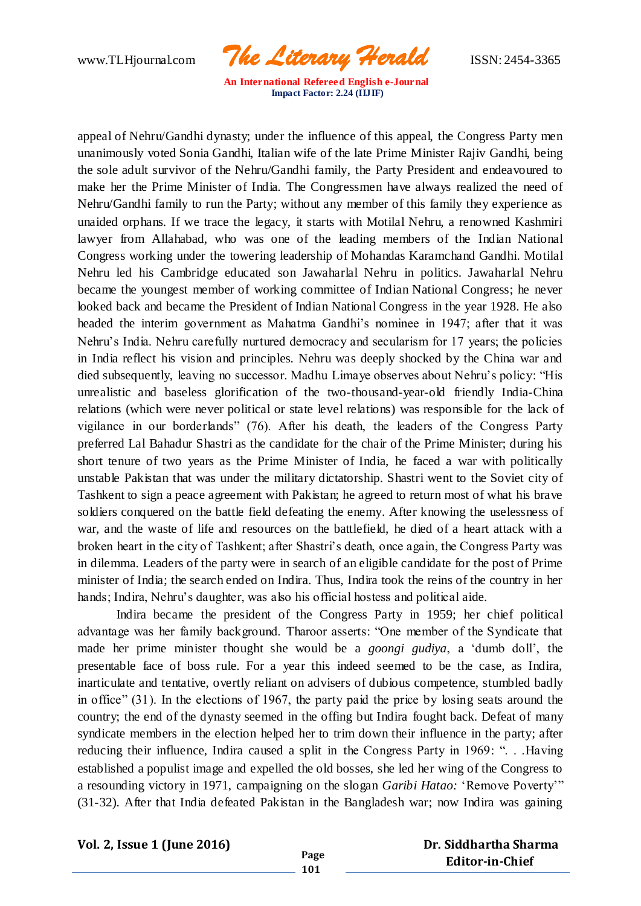www.TLHjournal.com *The Literary Herald*ISSN: 2454-3365

appeal of Nehru/Gandhi dynasty; under the influence of this appeal, the Congress Party men unanimously voted Sonia Gandhi, Italian wife of the late Prime Minister Rajiv Gandhi, being the sole adult survivor of the Nehru/Gandhi family, the Party President and endeavoured to make her the Prime Minister of India. The Congressmen have always realized the need of Nehru/Gandhi family to run the Party; without any member of this family they experience as unaided orphans. If we trace the legacy, it starts with Motilal Nehru, a renowned Kashmiri lawyer from Allahabad, who was one of the leading members of the Indian National Congress working under the towering leadership of Mohandas Karamchand Gandhi. Motilal Nehru led his Cambridge educated son Jawaharlal Nehru in politics. Jawaharlal Nehru became the youngest member of working committee of Indian National Congress; he never looked back and became the President of Indian National Congress in the year 1928. He also headed the interim government as Mahatma Gandhi's nominee in 1947; after that it was Nehru's India. Nehru carefully nurtured democracy and secularism for 17 years; the policies in India reflect his vision and principles. Nehru was deeply shocked by the China war and died subsequently, leaving no successor. Madhu Limaye observes about Nehru's policy: "His unrealistic and baseless glorification of the two-thousand-year-old friendly India-China relations (which were never political or state level relations) was responsible for the lack of vigilance in our borderlands" (76). After his death, the leaders of the Congress Party preferred Lal Bahadur Shastri as the candidate for the chair of the Prime Minister; during his short tenure of two years as the Prime Minister of India, he faced a war with politically unstable Pakistan that was under the military dictatorship. Shastri went to the Soviet city of Tashkent to sign a peace agreement with Pakistan; he agreed to return most of what his brave soldiers conquered on the battle field defeating the enemy. After knowing the uselessness of war, and the waste of life and resources on the battlefield, he died of a heart attack with a broken heart in the city of Tashkent; after Shastri's death, once again, the Congress Party was in dilemma. Leaders of the party were in search of an eligible candidate for the post of Prime minister of India; the search ended on Indira. Thus, Indira took the reins of the country in her hands; Indira, Nehru's daughter, was also his official hostess and political aide.

Indira became the president of the Congress Party in 1959; her chief political advantage was her family background. Tharoor asserts: "One member of the Syndicate that made her prime minister thought she would be a *goongi gudiya*, a 'dumb doll', the presentable face of boss rule. For a year this indeed seemed to be the case, as Indira, inarticulate and tentative, overtly reliant on advisers of dubious competence, stumbled badly in office" (31). In the elections of 1967, the party paid the price by losing seats around the country; the end of the dynasty seemed in the offing but Indira fought back. Defeat of many syndicate members in the election helped her to trim down their influence in the party; after reducing their influence, Indira caused a split in the Congress Party in 1969: ". . .Having established a populist image and expelled the old bosses, she led her wing of the Congress to a resounding victory in 1971, campaigning on the slogan *Garibi Hatao:* 'Remove Poverty'" (31-32). After that India defeated Pakistan in the Bangladesh war; now Indira was gaining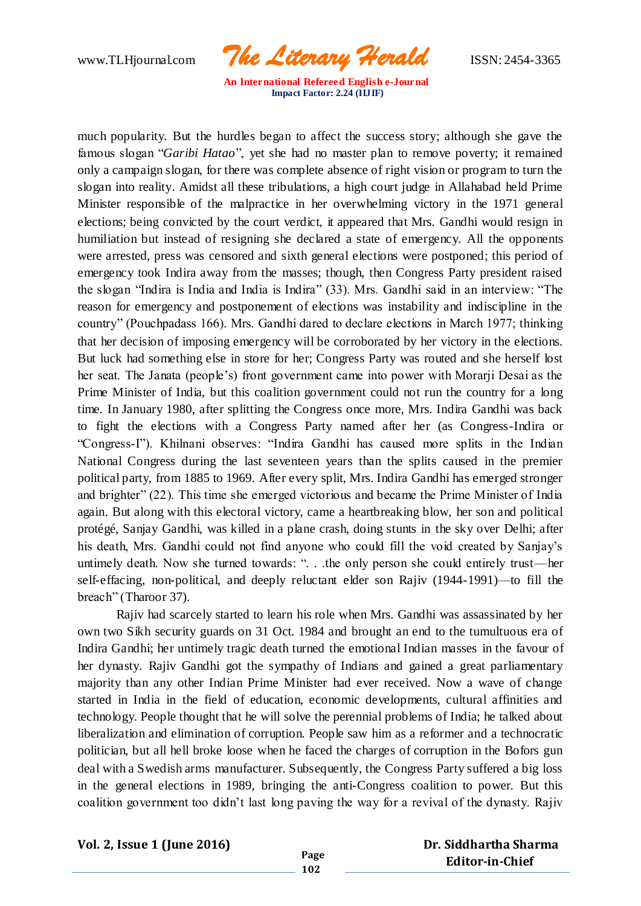www.TLHjournal.com *The Literary Herald*ISSN: 2454-3365

much popularity. But the hurdles began to affect the success story; although she gave the famous slogan "*Garibi Hatao*", yet she had no master plan to remove poverty; it remained only a campaign slogan, for there was complete absence of right vision or program to turn the slogan into reality. Amidst all these tribulations, a high court judge in Allahabad held Prime Minister responsible of the malpractice in her overwhelming victory in the 1971 general elections; being convicted by the court verdict, it appeared that Mrs. Gandhi would resign in humiliation but instead of resigning she declared a state of emergency. All the opponents were arrested, press was censored and sixth general elections were postponed; this period of emergency took Indira away from the masses; though, then Congress Party president raised the slogan "Indira is India and India is Indira" (33). Mrs. Gandhi said in an interview: "The reason for emergency and postponement of elections was instability and indiscipline in the country" (Pouchpadass 166). Mrs. Gandhi dared to declare elections in March 1977; thinking that her decision of imposing emergency will be corroborated by her victory in the elections. But luck had something else in store for her; Congress Party was routed and she herself lost her seat. The Janata (people's) front government came into power with Morarji Desai as the Prime Minister of India, but this coalition government could not run the country for a long time. In January 1980, after splitting the Congress once more, Mrs. Indira Gandhi was back to fight the elections with a Congress Party named after her (as Congress-Indira or "Congress-I"). Khilnani observes: "Indira Gandhi has caused more splits in the Indian National Congress during the last seventeen years than the splits caused in the premier political party, from 1885 to 1969. After every split, Mrs. Indira Gandhi has emerged stronger and brighter" (22). This time she emerged victorious and became the Prime Minister of India again. But along with this electoral victory, came a heartbreaking blow, her son and political protégé, Sanjay Gandhi, was killed in a plane crash, doing stunts in the sky over Delhi; after his death, Mrs. Gandhi could not find anyone who could fill the void created by Sanjay's untimely death. Now she turned towards: ". . .the only person she could entirely trust—her self-effacing, non-political, and deeply reluctant elder son Rajiv (1944-1991)—to fill the breach" (Tharoor 37).

Rajiv had scarcely started to learn his role when Mrs. Gandhi was assassinated by her own two Sikh security guards on 31 Oct. 1984 and brought an end to the tumultuous era of Indira Gandhi; her untimely tragic death turned the emotional Indian masses in the favour of her dynasty. Rajiv Gandhi got the sympathy of Indians and gained a great parliamentary majority than any other Indian Prime Minister had ever received. Now a wave of change started in India in the field of education, economic developments, cultural affinities and technology. People thought that he will solve the perennial problems of India; he talked about liberalization and elimination of corruption. People saw him as a reformer and a technocratic politician, but all hell broke loose when he faced the charges of corruption in the Bofors gun deal with a Swedish arms manufacturer. Subsequently, the Congress Party suffered a big loss in the general elections in 1989, bringing the anti-Congress coalition to power. But this coalition government too didn't last long paving the way for a revival of the dynasty. Rajiv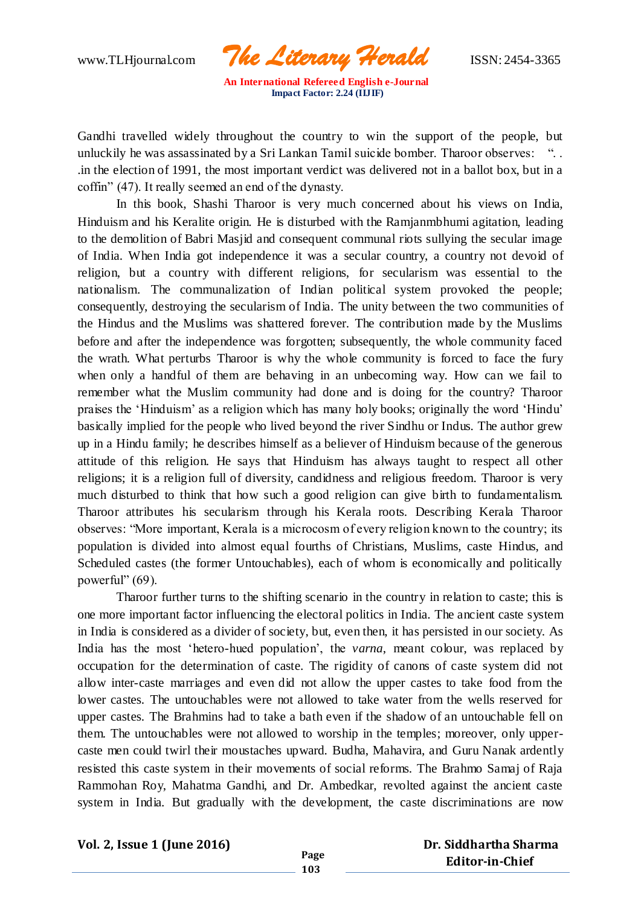www.TLHjournal.com *The Literary Herald*ISSN: 2454-3365

Gandhi travelled widely throughout the country to win the support of the people, but unluckily he was assassinated by a Sri Lankan Tamil suicide bomber. Tharoor observes: "... .in the election of 1991, the most important verdict was delivered not in a ballot box, but in a coffin" (47). It really seemed an end of the dynasty.

In this book, Shashi Tharoor is very much concerned about his views on India, Hinduism and his Keralite origin. He is disturbed with the Ramjanmbhumi agitation, leading to the demolition of Babri Masjid and consequent communal riots sullying the secular image of India. When India got independence it was a secular country, a country not devoid of religion, but a country with different religions, for secularism was essential to the nationalism. The communalization of Indian political system provoked the people; consequently, destroying the secularism of India. The unity between the two communities of the Hindus and the Muslims was shattered forever. The contribution made by the Muslims before and after the independence was forgotten; subsequently, the whole community faced the wrath. What perturbs Tharoor is why the whole community is forced to face the fury when only a handful of them are behaving in an unbecoming way. How can we fail to remember what the Muslim community had done and is doing for the country? Tharoor praises the 'Hinduism' as a religion which has many holy books; originally the word 'Hindu' basically implied for the people who lived beyond the river Sindhu or Indus. The author grew up in a Hindu family; he describes himself as a believer of Hinduism because of the generous attitude of this religion. He says that Hinduism has always taught to respect all other religions; it is a religion full of diversity, candidness and religious freedom. Tharoor is very much disturbed to think that how such a good religion can give birth to fundamentalism. Tharoor attributes his secularism through his Kerala roots. Describing Kerala Tharoor observes: "More important, Kerala is a microcosm of every religion known to the country; its population is divided into almost equal fourths of Christians, Muslims, caste Hindus, and Scheduled castes (the former Untouchables), each of whom is economically and politically powerful" (69).

Tharoor further turns to the shifting scenario in the country in relation to caste; this is one more important factor influencing the electoral politics in India. The ancient caste system in India is considered as a divider of society, but, even then, it has persisted in our society. As India has the most 'hetero-hued population', the *varna*, meant colour, was replaced by occupation for the determination of caste. The rigidity of canons of caste system did not allow inter-caste marriages and even did not allow the upper castes to take food from the lower castes. The untouchables were not allowed to take water from the wells reserved for upper castes. The Brahmins had to take a bath even if the shadow of an untouchable fell on them. The untouchables were not allowed to worship in the temples; moreover, only uppercaste men could twirl their moustaches upward. Budha, Mahavira, and Guru Nanak ardently resisted this caste system in their movements of social reforms. The Brahmo Samaj of Raja Rammohan Roy, Mahatma Gandhi, and Dr. Ambedkar, revolted against the ancient caste system in India. But gradually with the development, the caste discriminations are now

**Vol. 2, Issue 1 (June 2016)**

**Page 103**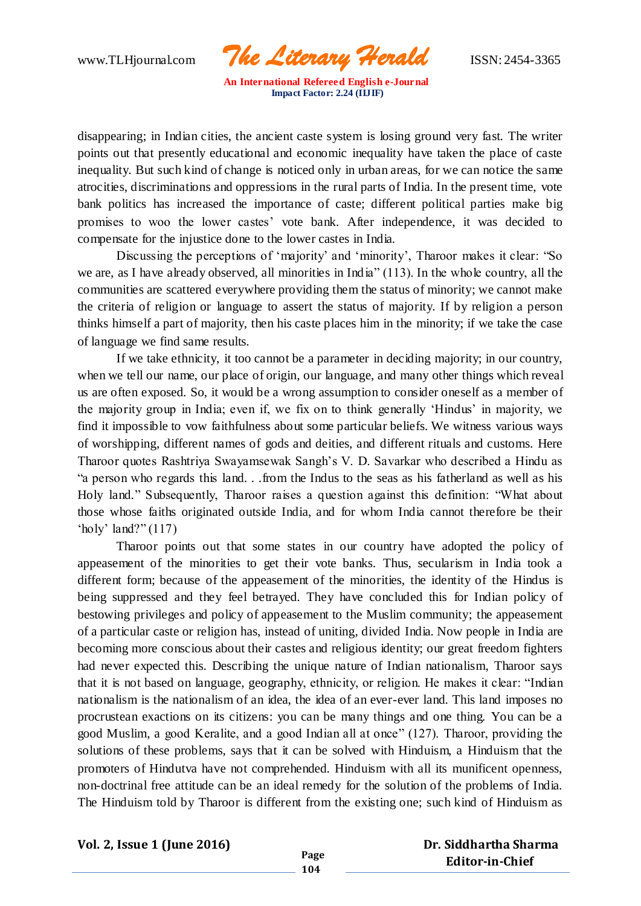www.TLHjournal.com *The Literary Herald*ISSN: 2454-3365

disappearing; in Indian cities, the ancient caste system is losing ground very fast. The writer points out that presently educational and economic inequality have taken the place of caste inequality. But such kind of change is noticed only in urban areas, for we can notice the same atrocities, discriminations and oppressions in the rural parts of India. In the present time, vote bank politics has increased the importance of caste; different political parties make big promises to woo the lower castes' vote bank. After independence, it was decided to compensate for the injustice done to the lower castes in India.

Discussing the perceptions of 'majority' and 'minority', Tharoor makes it clear: "So we are, as I have already observed, all minorities in India" (113). In the whole country, all the communities are scattered everywhere providing them the status of minority; we cannot make the criteria of religion or language to assert the status of majority. If by religion a person thinks himself a part of majority, then his caste places him in the minority; if we take the case of language we find same results.

If we take ethnicity, it too cannot be a parameter in deciding majority; in our country, when we tell our name, our place of origin, our language, and many other things which reveal us are often exposed. So, it would be a wrong assumption to consider oneself as a member of the majority group in India; even if, we fix on to think generally 'Hindus' in majority, we find it impossible to vow faithfulness about some particular beliefs. We witness various ways of worshipping, different names of gods and deities, and different rituals and customs. Here Tharoor quotes Rashtriya Swayamsewak Sangh's V. D. Savarkar who described a Hindu as "a person who regards this land. . .from the Indus to the seas as his fatherland as well as his Holy land." Subsequently, Tharoor raises a question against this definition: "What about those whose faiths originated outside India, and for whom India cannot therefore be their 'holy' land?" (117)

Tharoor points out that some states in our country have adopted the policy of appeasement of the minorities to get their vote banks. Thus, secularism in India took a different form; because of the appeasement of the minorities, the identity of the Hindus is being suppressed and they feel betrayed. They have concluded this for Indian policy of bestowing privileges and policy of appeasement to the Muslim community; the appeasement of a particular caste or religion has, instead of uniting, divided India. Now people in India are becoming more conscious about their castes and religious identity; our great freedom fighters had never expected this. Describing the unique nature of Indian nationalism, Tharoor says that it is not based on language, geography, ethnicity, or religion. He makes it clear: "Indian nationalism is the nationalism of an idea, the idea of an ever-ever land. This land imposes no procrustean exactions on its citizens: you can be many things and one thing. You can be a good Muslim, a good Keralite, and a good Indian all at once" (127). Tharoor, providing the solutions of these problems, says that it can be solved with Hinduism, a Hinduism that the promoters of Hindutva have not comprehended. Hinduism with all its munificent openness, non-doctrinal free attitude can be an ideal remedy for the solution of the problems of India. The Hinduism told by Tharoor is different from the existing one; such kind of Hinduism as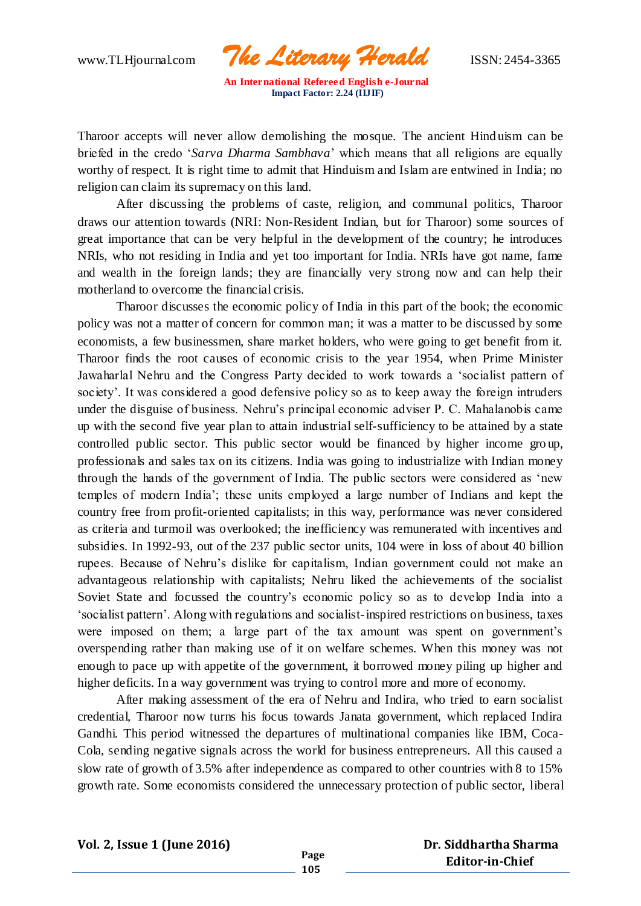www.TLHjournal.com *The Literary Herald*ISSN: 2454-3365

Tharoor accepts will never allow demolishing the mosque. The ancient Hind uism can be briefed in the credo '*Sarva Dharma Sambhava*' which means that all religions are equally worthy of respect. It is right time to admit that Hinduism and Islam are entwined in India; no religion can claim its supremacy on this land.

After discussing the problems of caste, religion, and communal politics, Tharoor draws our attention towards (NRI: Non-Resident Indian, but for Tharoor) some sources of great importance that can be very helpful in the development of the country; he introduces NRIs, who not residing in India and yet too important for India. NRIs have got name, fame and wealth in the foreign lands; they are financially very strong now and can help their motherland to overcome the financial crisis.

Tharoor discusses the economic policy of India in this part of the book; the economic policy was not a matter of concern for common man; it was a matter to be discussed by some economists, a few businessmen, share market holders, who were going to get benefit from it. Tharoor finds the root causes of economic crisis to the year 1954, when Prime Minister Jawaharlal Nehru and the Congress Party decided to work towards a 'socialist pattern of society'. It was considered a good defensive policy so as to keep away the foreign intruders under the disguise of business. Nehru's principal economic adviser P. C. Mahalanobis came up with the second five year plan to attain industrial self-sufficiency to be attained by a state controlled public sector. This public sector would be financed by higher income gro up, professionals and sales tax on its citizens. India was going to industrialize with Indian money through the hands of the government of India. The public sectors were considered as 'new temples of modern India'; these units employed a large number of Indians and kept the country free from profit-oriented capitalists; in this way, performance was never considered as criteria and turmoil was overlooked; the inefficiency was remunerated with incentives and subsidies. In 1992-93, out of the 237 public sector units, 104 were in loss of about 40 billion rupees. Because of Nehru's dislike for capitalism, Indian government could not make an advantageous relationship with capitalists; Nehru liked the achievements of the socialist Soviet State and focussed the country's economic policy so as to develop India into a 'socialist pattern'. Along with regulations and socialist-inspired restrictions on business, taxes were imposed on them; a large part of the tax amount was spent on government's overspending rather than making use of it on welfare schemes. When this money was not enough to pace up with appetite of the government, it borrowed money piling up higher and higher deficits. In a way government was trying to control more and more of economy.

After making assessment of the era of Nehru and Indira, who tried to earn socialist credential, Tharoor now turns his focus towards Janata government, which replaced Indira Gandhi. This period witnessed the departures of multinational companies like IBM, Coca-Cola, sending negative signals across the world for business entrepreneurs. All this caused a slow rate of growth of 3.5% after independence as compared to other countries with 8 to 15% growth rate. Some economists considered the unnecessary protection of public sector, liberal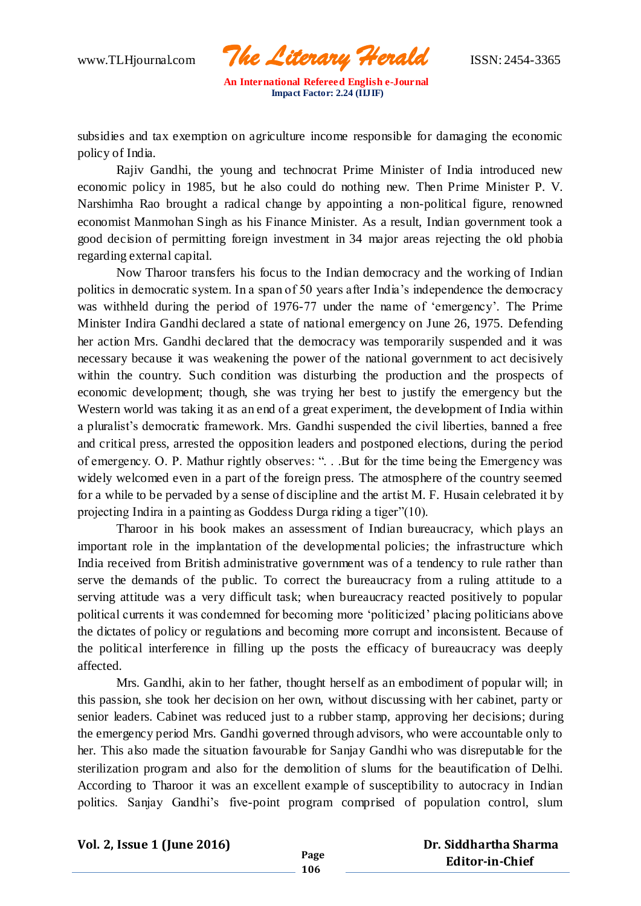www.TLHjournal.com *The Literary Herald*ISSN: 2454-3365

subsidies and tax exemption on agriculture income responsible for damaging the economic policy of India.

Rajiv Gandhi, the young and technocrat Prime Minister of India introduced new economic policy in 1985, but he also could do nothing new. Then Prime Minister P. V. Narshimha Rao brought a radical change by appointing a non-political figure, renowned economist Manmohan Singh as his Finance Minister. As a result, Indian government took a good decision of permitting foreign investment in 34 major areas rejecting the old phobia regarding external capital.

Now Tharoor transfers his focus to the Indian democracy and the working of Indian politics in democratic system. In a span of 50 years after India's independence the democracy was withheld during the period of 1976-77 under the name of 'emergency'. The Prime Minister Indira Gandhi declared a state of national emergency on June 26, 1975. Defending her action Mrs. Gandhi declared that the democracy was temporarily suspended and it was necessary because it was weakening the power of the national government to act decisively within the country. Such condition was disturbing the production and the prospects of economic development; though, she was trying her best to justify the emergency but the Western world was taking it as an end of a great experiment, the development of India within a pluralist's democratic framework. Mrs. Gandhi suspended the civil liberties, banned a free and critical press, arrested the opposition leaders and postponed elections, during the period of emergency. O. P. Mathur rightly observes: ". . .But for the time being the Emergency was widely welcomed even in a part of the foreign press. The atmosphere of the country seemed for a while to be pervaded by a sense of discipline and the artist M. F. Husain celebrated it by projecting Indira in a painting as Goddess Durga riding a tiger"(10).

Tharoor in his book makes an assessment of Indian bureaucracy, which plays an important role in the implantation of the developmental policies; the infrastructure which India received from British administrative government was of a tendency to rule rather than serve the demands of the public. To correct the bureaucracy from a ruling attitude to a serving attitude was a very difficult task; when bureaucracy reacted positively to popular political currents it was condemned for becoming more 'politicized' placing politicians above the dictates of policy or regulations and becoming more corrupt and inconsistent. Because of the political interference in filling up the posts the efficacy of bureaucracy was deeply affected.

Mrs. Gandhi, akin to her father, thought herself as an embodiment of popular will; in this passion, she took her decision on her own, without discussing with her cabinet, party or senior leaders. Cabinet was reduced just to a rubber stamp, approving her decisions; during the emergency period Mrs. Gandhi governed through advisors, who were accountable only to her. This also made the situation favourable for Sanjay Gandhi who was disreputable for the sterilization program and also for the demolition of slums for the beautification of Delhi. According to Tharoor it was an excellent example of susceptibility to autocracy in Indian politics. Sanjay Gandhi's five-point program comprised of population control, slum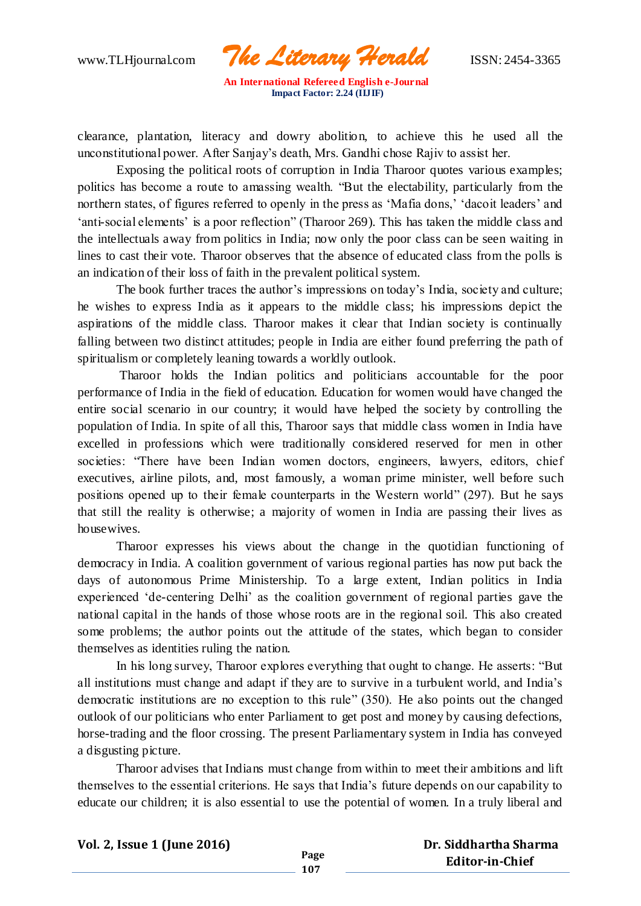www.TLHjournal.com *The Literary Herald*ISSN: 2454-3365

clearance, plantation, literacy and dowry abolition, to achieve this he used all the unconstitutional power. After Sanjay's death, Mrs. Gandhi chose Rajiv to assist her.

Exposing the political roots of corruption in India Tharoor quotes various examples; politics has become a route to amassing wealth. "But the electability, particularly from the northern states, of figures referred to openly in the press as 'Mafia dons,' 'dacoit leaders' and 'anti-social elements' is a poor reflection" (Tharoor 269). This has taken the middle class and the intellectuals away from politics in India; now only the poor class can be seen waiting in lines to cast their vote. Tharoor observes that the absence of educated class from the polls is an indication of their loss of faith in the prevalent political system.

The book further traces the author's impressions on today's India, society and culture; he wishes to express India as it appears to the middle class; his impressions depict the aspirations of the middle class. Tharoor makes it clear that Indian society is continually falling between two distinct attitudes; people in India are either found preferring the path of spiritualism or completely leaning towards a worldly outlook.

Tharoor holds the Indian politics and politicians accountable for the poor performance of India in the field of education. Education for women would have changed the entire social scenario in our country; it would have helped the society by controlling the population of India. In spite of all this, Tharoor says that middle class women in India have excelled in professions which were traditionally considered reserved for men in other societies: "There have been Indian women doctors, engineers, lawyers, editors, chief executives, airline pilots, and, most famously, a woman prime minister, well before such positions opened up to their female counterparts in the Western world" (297). But he says that still the reality is otherwise; a majority of women in India are passing their lives as housewives.

Tharoor expresses his views about the change in the quotidian functioning of democracy in India. A coalition government of various regional parties has now put back the days of autonomous Prime Ministership. To a large extent, Indian politics in India experienced 'de-centering Delhi' as the coalition government of regional parties gave the national capital in the hands of those whose roots are in the regional soil. This also created some problems; the author points out the attitude of the states, which began to consider themselves as identities ruling the nation.

In his long survey, Tharoor explores everything that ought to change. He asserts: "But all institutions must change and adapt if they are to survive in a turbulent world, and India's democratic institutions are no exception to this rule" (350). He also points out the changed outlook of our politicians who enter Parliament to get post and money by causing defections, horse-trading and the floor crossing. The present Parliamentary system in India has conveyed a disgusting picture.

Tharoor advises that Indians must change from within to meet their ambitions and lift themselves to the essential criterions. He says that India's future depends on our capability to educate our children; it is also essential to use the potential of women. In a truly liberal and